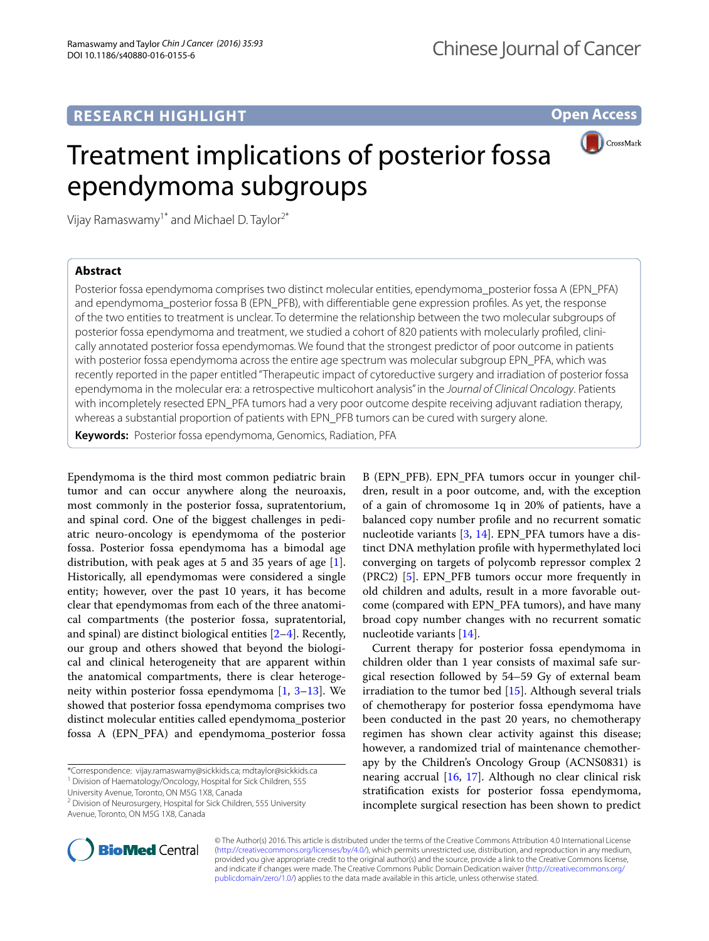## **RESEARCH HIGHLIGHT**

**Open Access**

# Treatment implications of posterior fossa ependymoma subgroups



Vijay Ramaswamy<sup>1\*</sup> and Michael D. Taylor<sup>2\*</sup>

### **Abstract**

Posterior fossa ependymoma comprises two distinct molecular entities, ependymoma\_posterior fossa A (EPN\_PFA) and ependymoma\_posterior fossa B (EPN\_PFB), with differentiable gene expression profiles. As yet, the response of the two entities to treatment is unclear. To determine the relationship between the two molecular subgroups of posterior fossa ependymoma and treatment, we studied a cohort of 820 patients with molecularly profiled, clinically annotated posterior fossa ependymomas. We found that the strongest predictor of poor outcome in patients with posterior fossa ependymoma across the entire age spectrum was molecular subgroup EPN\_PFA, which was recently reported in the paper entitled "Therapeutic impact of cytoreductive surgery and irradiation of posterior fossa ependymoma in the molecular era: a retrospective multicohort analysis" in the *Journal of Clinical Oncology*. Patients with incompletely resected EPN PFA tumors had a very poor outcome despite receiving adjuvant radiation therapy, whereas a substantial proportion of patients with EPN\_PFB tumors can be cured with surgery alone.

**Keywords:** Posterior fossa ependymoma, Genomics, Radiation, PFA

Ependymoma is the third most common pediatric brain tumor and can occur anywhere along the neuroaxis, most commonly in the posterior fossa, supratentorium, and spinal cord. One of the biggest challenges in pediatric neuro-oncology is ependymoma of the posterior fossa. Posterior fossa ependymoma has a bimodal age distribution, with peak ages at 5 and 35 years of age [\[1](#page-2-0)]. Historically, all ependymomas were considered a single entity; however, over the past 10 years, it has become clear that ependymomas from each of the three anatomical compartments (the posterior fossa, supratentorial, and spinal) are distinct biological entities [\[2](#page-2-1)–[4\]](#page-2-2). Recently, our group and others showed that beyond the biological and clinical heterogeneity that are apparent within the anatomical compartments, there is clear heterogeneity within posterior fossa ependymoma [[1,](#page-2-0) [3](#page-2-3)[–13\]](#page-2-4). We showed that posterior fossa ependymoma comprises two distinct molecular entities called ependymoma\_posterior fossa A (EPN\_PFA) and ependymoma\_posterior fossa

University Avenue, Toronto, ON M5G 1X8, Canada

B (EPN\_PFB). EPN\_PFA tumors occur in younger children, result in a poor outcome, and, with the exception of a gain of chromosome 1q in 20% of patients, have a balanced copy number profile and no recurrent somatic nucleotide variants [\[3](#page-2-3), [14](#page-2-5)]. EPN\_PFA tumors have a distinct DNA methylation profile with hypermethylated loci converging on targets of polycomb repressor complex 2 (PRC2) [\[5](#page-2-6)]. EPN\_PFB tumors occur more frequently in old children and adults, result in a more favorable outcome (compared with EPN\_PFA tumors), and have many broad copy number changes with no recurrent somatic nucleotide variants [\[14\]](#page-2-5).

Current therapy for posterior fossa ependymoma in children older than 1 year consists of maximal safe surgical resection followed by 54–59 Gy of external beam irradiation to the tumor bed [\[15](#page-2-7)]. Although several trials of chemotherapy for posterior fossa ependymoma have been conducted in the past 20 years, no chemotherapy regimen has shown clear activity against this disease; however, a randomized trial of maintenance chemotherapy by the Children's Oncology Group (ACNS0831) is nearing accrual [[16,](#page-2-8) [17](#page-2-9)]. Although no clear clinical risk stratification exists for posterior fossa ependymoma, incomplete surgical resection has been shown to predict



© The Author(s) 2016. This article is distributed under the terms of the Creative Commons Attribution 4.0 International License [\(http://creativecommons.org/licenses/by/4.0/\)](http://creativecommons.org/licenses/by/4.0/), which permits unrestricted use, distribution, and reproduction in any medium, provided you give appropriate credit to the original author(s) and the source, provide a link to the Creative Commons license, and indicate if changes were made. The Creative Commons Public Domain Dedication waiver ([http://creativecommons.org/](http://creativecommons.org/publicdomain/zero/1.0/) [publicdomain/zero/1.0/](http://creativecommons.org/publicdomain/zero/1.0/)) applies to the data made available in this article, unless otherwise stated.

<sup>\*</sup>Correspondence: vijay.ramaswamy@sickkids.ca; mdtaylor@sickkids.ca <sup>1</sup> Division of Haematology/Oncology, Hospital for Sick Children, 555

<sup>&</sup>lt;sup>2</sup> Division of Neurosurgery, Hospital for Sick Children, 555 University Avenue, Toronto, ON M5G 1X8, Canada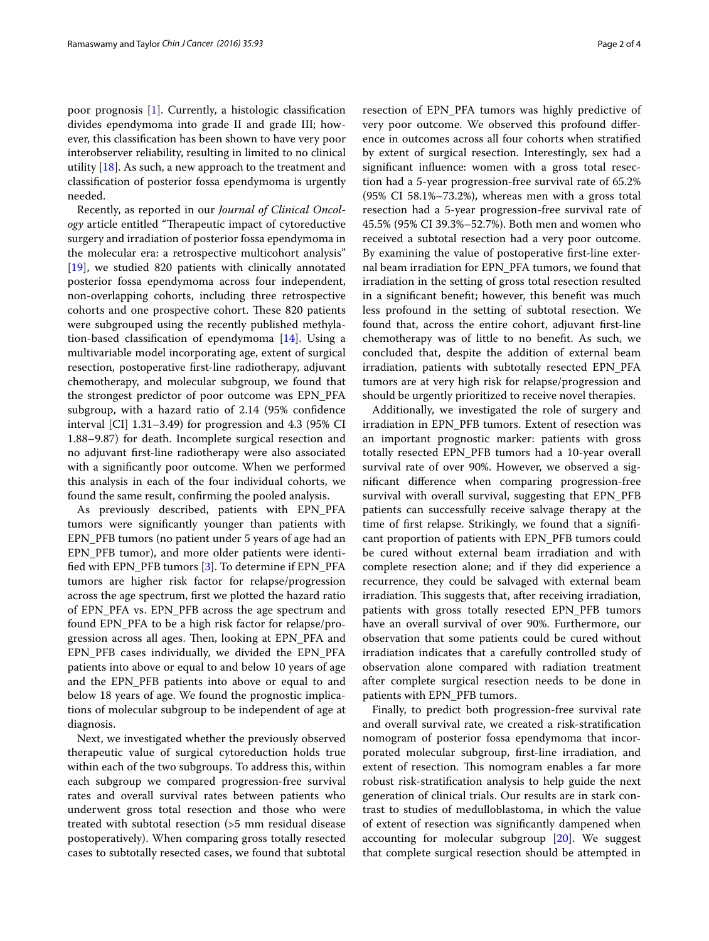poor prognosis [[1\]](#page-2-0). Currently, a histologic classification divides ependymoma into grade II and grade III; however, this classification has been shown to have very poor interobserver reliability, resulting in limited to no clinical utility [\[18](#page-2-10)]. As such, a new approach to the treatment and classification of posterior fossa ependymoma is urgently needed.

Recently, as reported in our *Journal of Clinical Oncology* article entitled "Therapeutic impact of cytoreductive surgery and irradiation of posterior fossa ependymoma in the molecular era: a retrospective multicohort analysis" [[19\]](#page-3-0), we studied 820 patients with clinically annotated posterior fossa ependymoma across four independent, non-overlapping cohorts, including three retrospective cohorts and one prospective cohort. These 820 patients were subgrouped using the recently published methylation-based classification of ependymoma [\[14\]](#page-2-5). Using a multivariable model incorporating age, extent of surgical resection, postoperative first-line radiotherapy, adjuvant chemotherapy, and molecular subgroup, we found that the strongest predictor of poor outcome was EPN\_PFA subgroup, with a hazard ratio of 2.14 (95% confidence interval [CI] 1.31–3.49) for progression and 4.3 (95% CI 1.88–9.87) for death. Incomplete surgical resection and no adjuvant first-line radiotherapy were also associated with a significantly poor outcome. When we performed this analysis in each of the four individual cohorts, we found the same result, confirming the pooled analysis.

As previously described, patients with EPN\_PFA tumors were significantly younger than patients with EPN\_PFB tumors (no patient under 5 years of age had an EPN\_PFB tumor), and more older patients were identified with EPN\_PFB tumors [\[3](#page-2-3)]. To determine if EPN\_PFA tumors are higher risk factor for relapse/progression across the age spectrum, first we plotted the hazard ratio of EPN\_PFA vs. EPN\_PFB across the age spectrum and found EPN\_PFA to be a high risk factor for relapse/progression across all ages. Then, looking at EPN\_PFA and EPN\_PFB cases individually, we divided the EPN\_PFA patients into above or equal to and below 10 years of age and the EPN\_PFB patients into above or equal to and below 18 years of age. We found the prognostic implications of molecular subgroup to be independent of age at diagnosis.

Next, we investigated whether the previously observed therapeutic value of surgical cytoreduction holds true within each of the two subgroups. To address this, within each subgroup we compared progression-free survival rates and overall survival rates between patients who underwent gross total resection and those who were treated with subtotal resection (>5 mm residual disease postoperatively). When comparing gross totally resected cases to subtotally resected cases, we found that subtotal resection of EPN\_PFA tumors was highly predictive of very poor outcome. We observed this profound difference in outcomes across all four cohorts when stratified by extent of surgical resection. Interestingly, sex had a significant influence: women with a gross total resection had a 5-year progression-free survival rate of 65.2% (95% CI 58.1%–73.2%), whereas men with a gross total resection had a 5-year progression-free survival rate of 45.5% (95% CI 39.3%–52.7%). Both men and women who received a subtotal resection had a very poor outcome. By examining the value of postoperative first-line external beam irradiation for EPN\_PFA tumors, we found that irradiation in the setting of gross total resection resulted in a significant benefit; however, this benefit was much less profound in the setting of subtotal resection. We found that, across the entire cohort, adjuvant first-line chemotherapy was of little to no benefit. As such, we concluded that, despite the addition of external beam irradiation, patients with subtotally resected EPN\_PFA tumors are at very high risk for relapse/progression and should be urgently prioritized to receive novel therapies.

Additionally, we investigated the role of surgery and irradiation in EPN\_PFB tumors. Extent of resection was an important prognostic marker: patients with gross totally resected EPN\_PFB tumors had a 10-year overall survival rate of over 90%. However, we observed a significant difference when comparing progression-free survival with overall survival, suggesting that EPN\_PFB patients can successfully receive salvage therapy at the time of first relapse. Strikingly, we found that a significant proportion of patients with EPN\_PFB tumors could be cured without external beam irradiation and with complete resection alone; and if they did experience a recurrence, they could be salvaged with external beam irradiation. This suggests that, after receiving irradiation, patients with gross totally resected EPN\_PFB tumors have an overall survival of over 90%. Furthermore, our observation that some patients could be cured without irradiation indicates that a carefully controlled study of observation alone compared with radiation treatment after complete surgical resection needs to be done in patients with EPN\_PFB tumors.

Finally, to predict both progression-free survival rate and overall survival rate, we created a risk-stratification nomogram of posterior fossa ependymoma that incorporated molecular subgroup, first-line irradiation, and extent of resection. This nomogram enables a far more robust risk-stratification analysis to help guide the next generation of clinical trials. Our results are in stark contrast to studies of medulloblastoma, in which the value of extent of resection was significantly dampened when accounting for molecular subgroup [[20\]](#page-3-1). We suggest that complete surgical resection should be attempted in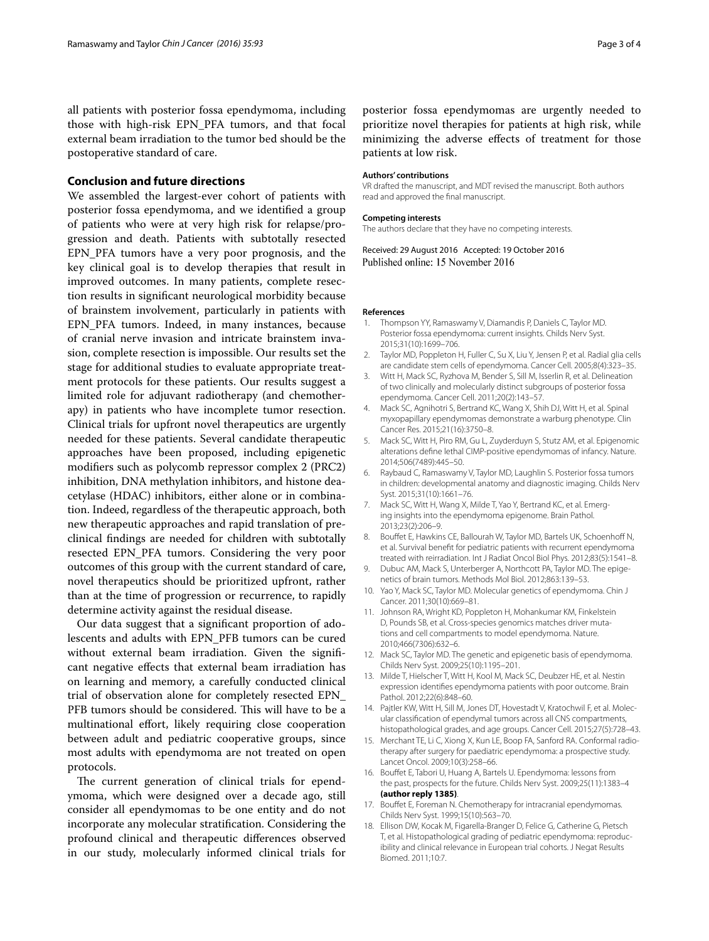all patients with posterior fossa ependymoma, including those with high-risk EPN\_PFA tumors, and that focal external beam irradiation to the tumor bed should be the postoperative standard of care.

#### **Conclusion and future directions**

We assembled the largest-ever cohort of patients with posterior fossa ependymoma, and we identified a group of patients who were at very high risk for relapse/progression and death. Patients with subtotally resected EPN\_PFA tumors have a very poor prognosis, and the key clinical goal is to develop therapies that result in improved outcomes. In many patients, complete resection results in significant neurological morbidity because of brainstem involvement, particularly in patients with EPN\_PFA tumors. Indeed, in many instances, because of cranial nerve invasion and intricate brainstem invasion, complete resection is impossible. Our results set the stage for additional studies to evaluate appropriate treatment protocols for these patients. Our results suggest a limited role for adjuvant radiotherapy (and chemotherapy) in patients who have incomplete tumor resection. Clinical trials for upfront novel therapeutics are urgently needed for these patients. Several candidate therapeutic approaches have been proposed, including epigenetic modifiers such as polycomb repressor complex 2 (PRC2) inhibition, DNA methylation inhibitors, and histone deacetylase (HDAC) inhibitors, either alone or in combination. Indeed, regardless of the therapeutic approach, both new therapeutic approaches and rapid translation of preclinical findings are needed for children with subtotally resected EPN\_PFA tumors. Considering the very poor outcomes of this group with the current standard of care, novel therapeutics should be prioritized upfront, rather than at the time of progression or recurrence, to rapidly determine activity against the residual disease.

Our data suggest that a significant proportion of adolescents and adults with EPN\_PFB tumors can be cured without external beam irradiation. Given the significant negative effects that external beam irradiation has on learning and memory, a carefully conducted clinical trial of observation alone for completely resected EPN\_ PFB tumors should be considered. This will have to be a multinational effort, likely requiring close cooperation between adult and pediatric cooperative groups, since most adults with ependymoma are not treated on open protocols.

The current generation of clinical trials for ependymoma, which were designed over a decade ago, still consider all ependymomas to be one entity and do not incorporate any molecular stratification. Considering the profound clinical and therapeutic differences observed in our study, molecularly informed clinical trials for

posterior fossa ependymomas are urgently needed to prioritize novel therapies for patients at high risk, while minimizing the adverse effects of treatment for those patients at low risk.

#### **Authors' contributions**

VR drafted the manuscript, and MDT revised the manuscript. Both authors read and approved the final manuscript.

#### **Competing interests**

The authors declare that they have no competing interests.

Received: 29 August 2016 Accepted: 19 October 2016 Published online: 15 November 2016

#### **References**

- <span id="page-2-0"></span>1. Thompson YY, Ramaswamy V, Diamandis P, Daniels C, Taylor MD. Posterior fossa ependymoma: current insights. Childs Nerv Syst. 2015;31(10):1699–706.
- <span id="page-2-1"></span>2. Taylor MD, Poppleton H, Fuller C, Su X, Liu Y, Jensen P, et al. Radial glia cells are candidate stem cells of ependymoma. Cancer Cell. 2005;8(4):323–35.
- <span id="page-2-3"></span>3. Witt H, Mack SC, Ryzhova M, Bender S, Sill M, Isserlin R, et al. Delineation of two clinically and molecularly distinct subgroups of posterior fossa ependymoma. Cancer Cell. 2011;20(2):143–57.
- <span id="page-2-2"></span>4. Mack SC, Agnihotri S, Bertrand KC, Wang X, Shih DJ, Witt H, et al. Spinal myxopapillary ependymomas demonstrate a warburg phenotype. Clin Cancer Res. 2015;21(16):3750–8.
- <span id="page-2-6"></span>5. Mack SC, Witt H, Piro RM, Gu L, Zuyderduyn S, Stutz AM, et al. Epigenomic alterations define lethal CIMP-positive ependymomas of infancy. Nature. 2014;506(7489):445–50.
- 6. Raybaud C, Ramaswamy V, Taylor MD, Laughlin S. Posterior fossa tumors in children: developmental anatomy and diagnostic imaging. Childs Nerv Syst. 2015;31(10):1661–76.
- 7. Mack SC, Witt H, Wang X, Milde T, Yao Y, Bertrand KC, et al. Emerging insights into the ependymoma epigenome. Brain Pathol. 2013;23(2):206–9.
- 8. Bouffet E, Hawkins CE, Ballourah W, Taylor MD, Bartels UK, Schoenhoff N, et al. Survival benefit for pediatric patients with recurrent ependymoma treated with reirradiation. Int J Radiat Oncol Biol Phys. 2012;83(5):1541–8.
- 9. Dubuc AM, Mack S, Unterberger A, Northcott PA, Taylor MD. The epigenetics of brain tumors. Methods Mol Biol. 2012;863:139–53.
- 10. Yao Y, Mack SC, Taylor MD. Molecular genetics of ependymoma. Chin J Cancer. 2011;30(10):669–81.
- 11. Johnson RA, Wright KD, Poppleton H, Mohankumar KM, Finkelstein D, Pounds SB, et al. Cross-species genomics matches driver mutations and cell compartments to model ependymoma. Nature. 2010;466(7306):632–6.
- 12. Mack SC, Taylor MD. The genetic and epigenetic basis of ependymoma. Childs Nerv Syst. 2009;25(10):1195–201.
- <span id="page-2-4"></span>13. Milde T, Hielscher T, Witt H, Kool M, Mack SC, Deubzer HE, et al. Nestin expression identifies ependymoma patients with poor outcome. Brain Pathol. 2012;22(6):848–60.
- <span id="page-2-5"></span>14. Pajtler KW, Witt H, Sill M, Jones DT, Hovestadt V, Kratochwil F, et al. Molecular classification of ependymal tumors across all CNS compartments, histopathological grades, and age groups. Cancer Cell. 2015;27(5):728–43.
- <span id="page-2-7"></span>15. Merchant TE, Li C, Xiong X, Kun LE, Boop FA, Sanford RA. Conformal radiotherapy after surgery for paediatric ependymoma: a prospective study. Lancet Oncol. 2009;10(3):258–66.
- <span id="page-2-8"></span>16. Bouffet E, Tabori U, Huang A, Bartels U. Ependymoma: lessons from the past, prospects for the future. Childs Nerv Syst. 2009;25(11):1383–4 **(author reply 1385)**.
- <span id="page-2-9"></span>17. Bouffet E, Foreman N. Chemotherapy for intracranial ependymomas. Childs Nerv Syst. 1999;15(10):563–70.
- <span id="page-2-10"></span>18. Ellison DW, Kocak M, Figarella-Branger D, Felice G, Catherine G, Pietsch T, et al. Histopathological grading of pediatric ependymoma: reproducibility and clinical relevance in European trial cohorts. J Negat Results Biomed. 2011;10:7.